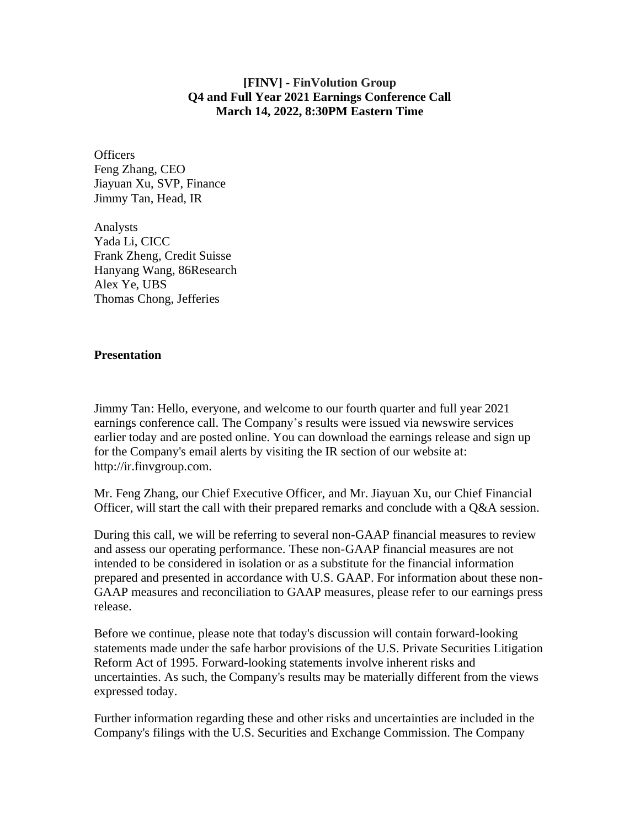## **[FINV] - FinVolution Group Q4 and Full Year 2021 Earnings Conference Call March 14, 2022, 8:30PM Eastern Time**

**Officers** Feng Zhang, CEO Jiayuan Xu, SVP, Finance Jimmy Tan, Head, IR

Analysts Yada Li, CICC Frank Zheng, Credit Suisse Hanyang Wang, 86Research Alex Ye, UBS Thomas Chong, Jefferies

## **Presentation**

Jimmy Tan: Hello, everyone, and welcome to our fourth quarter and full year 2021 earnings conference call. The Company's results were issued via newswire services earlier today and are posted online. You can download the earnings release and sign up for the Company's email alerts by visiting the IR section of our website at: http://ir.finvgroup.com.

Mr. Feng Zhang, our Chief Executive Officer, and Mr. Jiayuan Xu, our Chief Financial Officer, will start the call with their prepared remarks and conclude with a Q&A session.

During this call, we will be referring to several non-GAAP financial measures to review and assess our operating performance. These non-GAAP financial measures are not intended to be considered in isolation or as a substitute for the financial information prepared and presented in accordance with U.S. GAAP. For information about these non-GAAP measures and reconciliation to GAAP measures, please refer to our earnings press release.

Before we continue, please note that today's discussion will contain forward-looking statements made under the safe harbor provisions of the U.S. Private Securities Litigation Reform Act of 1995. Forward-looking statements involve inherent risks and uncertainties. As such, the Company's results may be materially different from the views expressed today.

Further information regarding these and other risks and uncertainties are included in the Company's filings with the U.S. Securities and Exchange Commission. The Company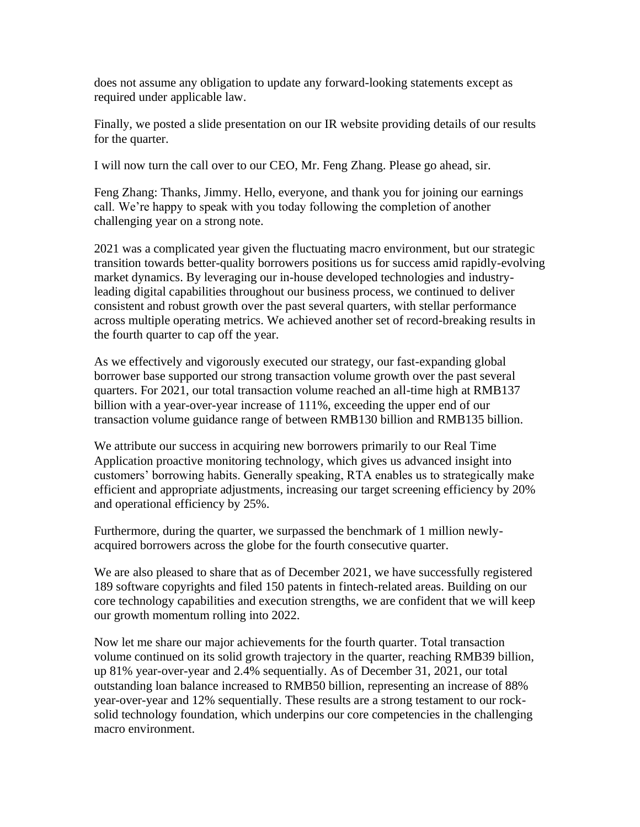does not assume any obligation to update any forward-looking statements except as required under applicable law.

Finally, we posted a slide presentation on our IR website providing details of our results for the quarter.

I will now turn the call over to our CEO, Mr. Feng Zhang. Please go ahead, sir.

Feng Zhang: Thanks, Jimmy. Hello, everyone, and thank you for joining our earnings call. We're happy to speak with you today following the completion of another challenging year on a strong note.

2021 was a complicated year given the fluctuating macro environment, but our strategic transition towards better-quality borrowers positions us for success amid rapidly-evolving market dynamics. By leveraging our in-house developed technologies and industryleading digital capabilities throughout our business process, we continued to deliver consistent and robust growth over the past several quarters, with stellar performance across multiple operating metrics. We achieved another set of record-breaking results in the fourth quarter to cap off the year.

As we effectively and vigorously executed our strategy, our fast-expanding global borrower base supported our strong transaction volume growth over the past several quarters. For 2021, our total transaction volume reached an all-time high at RMB137 billion with a year-over-year increase of 111%, exceeding the upper end of our transaction volume guidance range of between RMB130 billion and RMB135 billion.

We attribute our success in acquiring new borrowers primarily to our Real Time Application proactive monitoring technology, which gives us advanced insight into customers' borrowing habits. Generally speaking, RTA enables us to strategically make efficient and appropriate adjustments, increasing our target screening efficiency by 20% and operational efficiency by 25%.

Furthermore, during the quarter, we surpassed the benchmark of 1 million newlyacquired borrowers across the globe for the fourth consecutive quarter.

We are also pleased to share that as of December 2021, we have successfully registered 189 software copyrights and filed 150 patents in fintech-related areas. Building on our core technology capabilities and execution strengths, we are confident that we will keep our growth momentum rolling into 2022.

Now let me share our major achievements for the fourth quarter. Total transaction volume continued on its solid growth trajectory in the quarter, reaching RMB39 billion, up 81% year-over-year and 2.4% sequentially. As of December 31, 2021, our total outstanding loan balance increased to RMB50 billion, representing an increase of 88% year-over-year and 12% sequentially. These results are a strong testament to our rocksolid technology foundation, which underpins our core competencies in the challenging macro environment.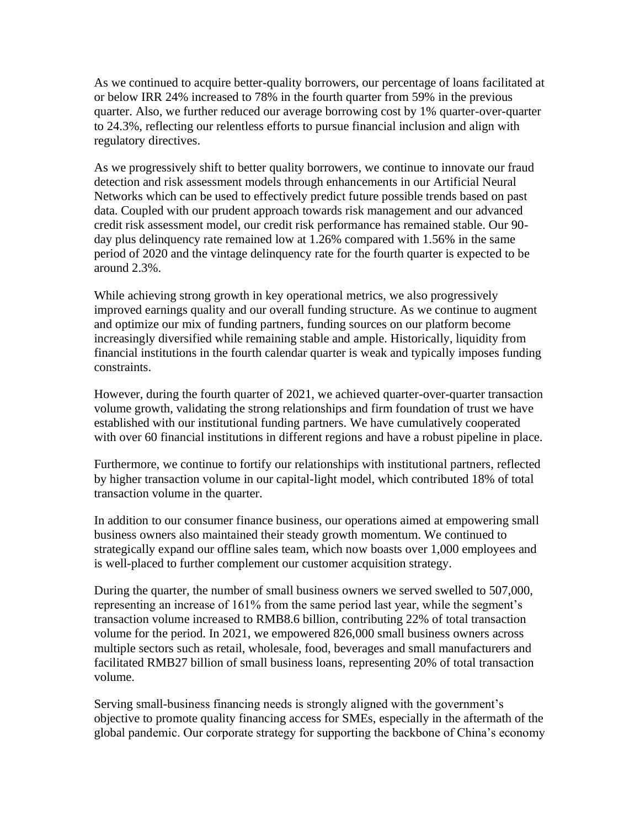As we continued to acquire better-quality borrowers, our percentage of loans facilitated at or below IRR 24% increased to 78% in the fourth quarter from 59% in the previous quarter. Also, we further reduced our average borrowing cost by 1% quarter-over-quarter to 24.3%, reflecting our relentless efforts to pursue financial inclusion and align with regulatory directives.

As we progressively shift to better quality borrowers, we continue to innovate our fraud detection and risk assessment models through enhancements in our Artificial Neural Networks which can be used to effectively predict future possible trends based on past data. Coupled with our prudent approach towards risk management and our advanced credit risk assessment model, our credit risk performance has remained stable. Our 90 day plus delinquency rate remained low at 1.26% compared with 1.56% in the same period of 2020 and the vintage delinquency rate for the fourth quarter is expected to be around 2.3%.

While achieving strong growth in key operational metrics, we also progressively improved earnings quality and our overall funding structure. As we continue to augment and optimize our mix of funding partners, funding sources on our platform become increasingly diversified while remaining stable and ample. Historically, liquidity from financial institutions in the fourth calendar quarter is weak and typically imposes funding constraints.

However, during the fourth quarter of 2021, we achieved quarter-over-quarter transaction volume growth, validating the strong relationships and firm foundation of trust we have established with our institutional funding partners. We have cumulatively cooperated with over 60 financial institutions in different regions and have a robust pipeline in place.

Furthermore, we continue to fortify our relationships with institutional partners, reflected by higher transaction volume in our capital-light model, which contributed 18% of total transaction volume in the quarter.

In addition to our consumer finance business, our operations aimed at empowering small business owners also maintained their steady growth momentum. We continued to strategically expand our offline sales team, which now boasts over 1,000 employees and is well-placed to further complement our customer acquisition strategy.

During the quarter, the number of small business owners we served swelled to 507,000, representing an increase of 161% from the same period last year, while the segment's transaction volume increased to RMB8.6 billion, contributing 22% of total transaction volume for the period. In 2021, we empowered 826,000 small business owners across multiple sectors such as retail, wholesale, food, beverages and small manufacturers and facilitated RMB27 billion of small business loans, representing 20% of total transaction volume.

Serving small-business financing needs is strongly aligned with the government's objective to promote quality financing access for SMEs, especially in the aftermath of the global pandemic. Our corporate strategy for supporting the backbone of China's economy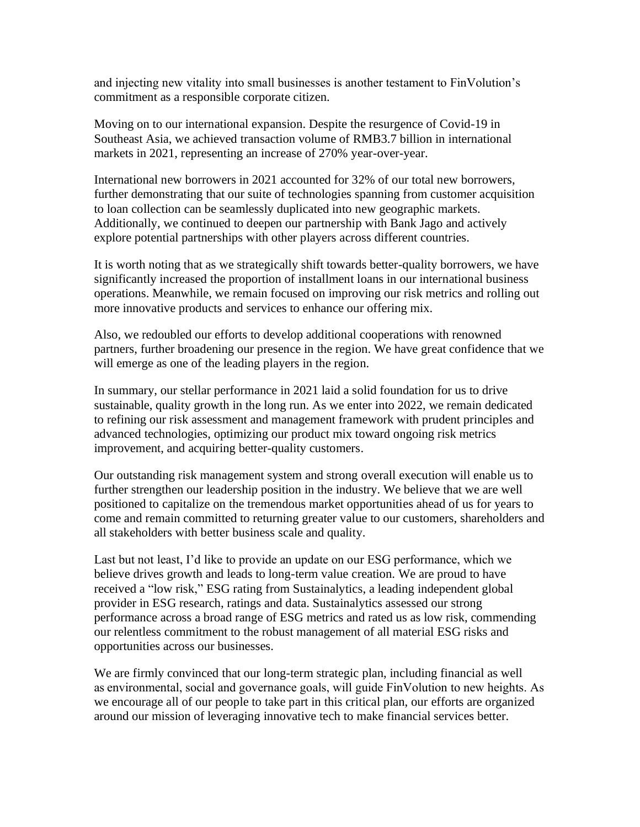and injecting new vitality into small businesses is another testament to FinVolution's commitment as a responsible corporate citizen.

Moving on to our international expansion. Despite the resurgence of Covid-19 in Southeast Asia, we achieved transaction volume of RMB3.7 billion in international markets in 2021, representing an increase of 270% year-over-year.

International new borrowers in 2021 accounted for 32% of our total new borrowers, further demonstrating that our suite of technologies spanning from customer acquisition to loan collection can be seamlessly duplicated into new geographic markets. Additionally, we continued to deepen our partnership with Bank Jago and actively explore potential partnerships with other players across different countries.

It is worth noting that as we strategically shift towards better-quality borrowers, we have significantly increased the proportion of installment loans in our international business operations. Meanwhile, we remain focused on improving our risk metrics and rolling out more innovative products and services to enhance our offering mix.

Also, we redoubled our efforts to develop additional cooperations with renowned partners, further broadening our presence in the region. We have great confidence that we will emerge as one of the leading players in the region.

In summary, our stellar performance in 2021 laid a solid foundation for us to drive sustainable, quality growth in the long run. As we enter into 2022, we remain dedicated to refining our risk assessment and management framework with prudent principles and advanced technologies, optimizing our product mix toward ongoing risk metrics improvement, and acquiring better-quality customers.

Our outstanding risk management system and strong overall execution will enable us to further strengthen our leadership position in the industry. We believe that we are well positioned to capitalize on the tremendous market opportunities ahead of us for years to come and remain committed to returning greater value to our customers, shareholders and all stakeholders with better business scale and quality.

Last but not least, I'd like to provide an update on our ESG performance, which we believe drives growth and leads to long-term value creation. We are proud to have received a "low risk," ESG rating from Sustainalytics, a leading independent global provider in ESG research, ratings and data. Sustainalytics assessed our strong performance across a broad range of ESG metrics and rated us as low risk, commending our relentless commitment to the robust management of all material ESG risks and opportunities across our businesses.

We are firmly convinced that our long-term strategic plan, including financial as well as environmental, social and governance goals, will guide FinVolution to new heights. As we encourage all of our people to take part in this critical plan, our efforts are organized around our mission of leveraging innovative tech to make financial services better.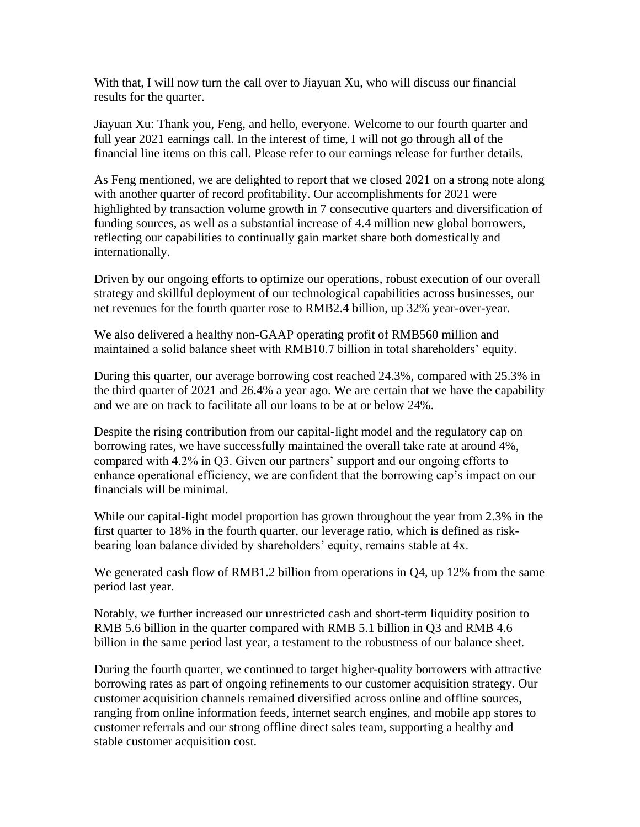With that, I will now turn the call over to Jiayuan Xu, who will discuss our financial results for the quarter.

Jiayuan Xu: Thank you, Feng, and hello, everyone. Welcome to our fourth quarter and full year 2021 earnings call. In the interest of time, I will not go through all of the financial line items on this call. Please refer to our earnings release for further details.

As Feng mentioned, we are delighted to report that we closed 2021 on a strong note along with another quarter of record profitability. Our accomplishments for 2021 were highlighted by transaction volume growth in 7 consecutive quarters and diversification of funding sources, as well as a substantial increase of 4.4 million new global borrowers, reflecting our capabilities to continually gain market share both domestically and internationally.

Driven by our ongoing efforts to optimize our operations, robust execution of our overall strategy and skillful deployment of our technological capabilities across businesses, our net revenues for the fourth quarter rose to RMB2.4 billion, up 32% year-over-year.

We also delivered a healthy non-GAAP operating profit of RMB560 million and maintained a solid balance sheet with RMB10.7 billion in total shareholders' equity.

During this quarter, our average borrowing cost reached 24.3%, compared with 25.3% in the third quarter of 2021 and 26.4% a year ago. We are certain that we have the capability and we are on track to facilitate all our loans to be at or below 24%.

Despite the rising contribution from our capital-light model and the regulatory cap on borrowing rates, we have successfully maintained the overall take rate at around 4%, compared with 4.2% in Q3. Given our partners' support and our ongoing efforts to enhance operational efficiency, we are confident that the borrowing cap's impact on our financials will be minimal.

While our capital-light model proportion has grown throughout the year from 2.3% in the first quarter to 18% in the fourth quarter, our leverage ratio, which is defined as riskbearing loan balance divided by shareholders' equity, remains stable at 4x.

We generated cash flow of RMB1.2 billion from operations in Q4, up 12% from the same period last year.

Notably, we further increased our unrestricted cash and short-term liquidity position to RMB 5.6 billion in the quarter compared with RMB 5.1 billion in Q3 and RMB 4.6 billion in the same period last year, a testament to the robustness of our balance sheet.

During the fourth quarter, we continued to target higher-quality borrowers with attractive borrowing rates as part of ongoing refinements to our customer acquisition strategy. Our customer acquisition channels remained diversified across online and offline sources, ranging from online information feeds, internet search engines, and mobile app stores to customer referrals and our strong offline direct sales team, supporting a healthy and stable customer acquisition cost.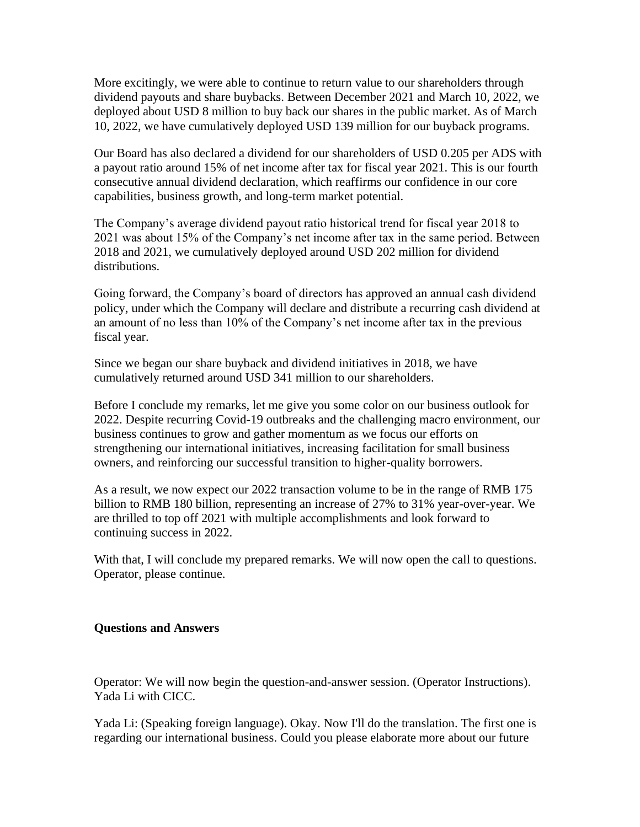More excitingly, we were able to continue to return value to our shareholders through dividend payouts and share buybacks. Between December 2021 and March 10, 2022, we deployed about USD 8 million to buy back our shares in the public market. As of March 10, 2022, we have cumulatively deployed USD 139 million for our buyback programs.

Our Board has also declared a dividend for our shareholders of USD 0.205 per ADS with a payout ratio around 15% of net income after tax for fiscal year 2021. This is our fourth consecutive annual dividend declaration, which reaffirms our confidence in our core capabilities, business growth, and long-term market potential.

The Company's average dividend payout ratio historical trend for fiscal year 2018 to 2021 was about 15% of the Company's net income after tax in the same period. Between 2018 and 2021, we cumulatively deployed around USD 202 million for dividend distributions.

Going forward, the Company's board of directors has approved an annual cash dividend policy, under which the Company will declare and distribute a recurring cash dividend at an amount of no less than 10% of the Company's net income after tax in the previous fiscal year.

Since we began our share buyback and dividend initiatives in 2018, we have cumulatively returned around USD 341 million to our shareholders.

Before I conclude my remarks, let me give you some color on our business outlook for 2022. Despite recurring Covid-19 outbreaks and the challenging macro environment, our business continues to grow and gather momentum as we focus our efforts on strengthening our international initiatives, increasing facilitation for small business owners, and reinforcing our successful transition to higher-quality borrowers.

As a result, we now expect our 2022 transaction volume to be in the range of RMB 175 billion to RMB 180 billion, representing an increase of 27% to 31% year-over-year. We are thrilled to top off 2021 with multiple accomplishments and look forward to continuing success in 2022.

With that, I will conclude my prepared remarks. We will now open the call to questions. Operator, please continue.

## **Questions and Answers**

Operator: We will now begin the question-and-answer session. (Operator Instructions). Yada Li with CICC.

Yada Li: (Speaking foreign language). Okay. Now I'll do the translation. The first one is regarding our international business. Could you please elaborate more about our future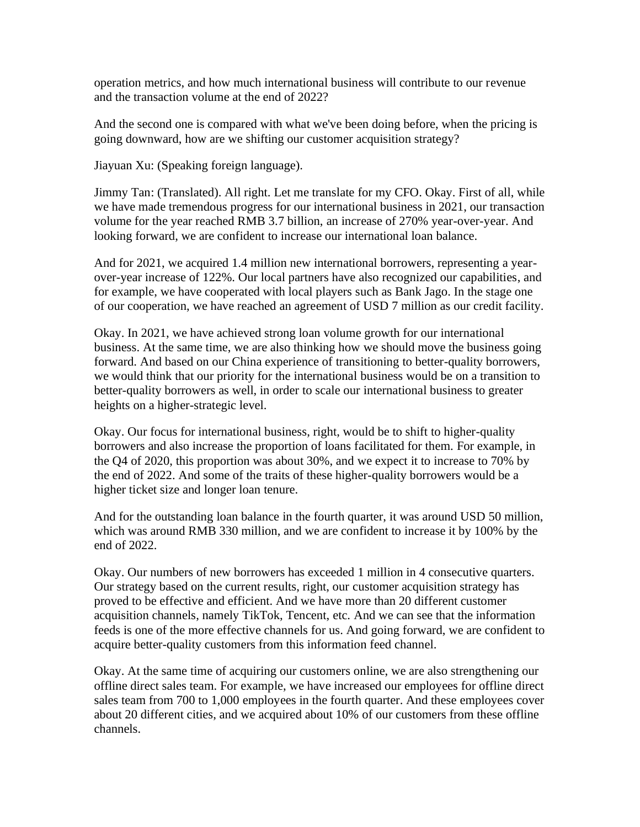operation metrics, and how much international business will contribute to our revenue and the transaction volume at the end of 2022?

And the second one is compared with what we've been doing before, when the pricing is going downward, how are we shifting our customer acquisition strategy?

Jiayuan Xu: (Speaking foreign language).

Jimmy Tan: (Translated). All right. Let me translate for my CFO. Okay. First of all, while we have made tremendous progress for our international business in 2021, our transaction volume for the year reached RMB 3.7 billion, an increase of 270% year-over-year. And looking forward, we are confident to increase our international loan balance.

And for 2021, we acquired 1.4 million new international borrowers, representing a yearover-year increase of 122%. Our local partners have also recognized our capabilities, and for example, we have cooperated with local players such as Bank Jago. In the stage one of our cooperation, we have reached an agreement of USD 7 million as our credit facility.

Okay. In 2021, we have achieved strong loan volume growth for our international business. At the same time, we are also thinking how we should move the business going forward. And based on our China experience of transitioning to better-quality borrowers, we would think that our priority for the international business would be on a transition to better-quality borrowers as well, in order to scale our international business to greater heights on a higher-strategic level.

Okay. Our focus for international business, right, would be to shift to higher-quality borrowers and also increase the proportion of loans facilitated for them. For example, in the Q4 of 2020, this proportion was about 30%, and we expect it to increase to 70% by the end of 2022. And some of the traits of these higher-quality borrowers would be a higher ticket size and longer loan tenure.

And for the outstanding loan balance in the fourth quarter, it was around USD 50 million, which was around RMB 330 million, and we are confident to increase it by 100% by the end of 2022.

Okay. Our numbers of new borrowers has exceeded 1 million in 4 consecutive quarters. Our strategy based on the current results, right, our customer acquisition strategy has proved to be effective and efficient. And we have more than 20 different customer acquisition channels, namely TikTok, Tencent, etc. And we can see that the information feeds is one of the more effective channels for us. And going forward, we are confident to acquire better-quality customers from this information feed channel.

Okay. At the same time of acquiring our customers online, we are also strengthening our offline direct sales team. For example, we have increased our employees for offline direct sales team from 700 to 1,000 employees in the fourth quarter. And these employees cover about 20 different cities, and we acquired about 10% of our customers from these offline channels.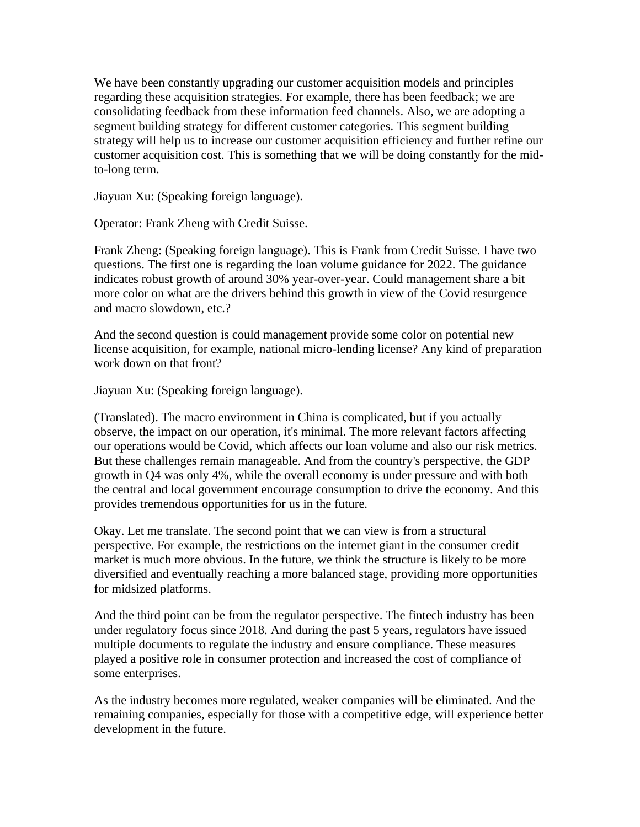We have been constantly upgrading our customer acquisition models and principles regarding these acquisition strategies. For example, there has been feedback; we are consolidating feedback from these information feed channels. Also, we are adopting a segment building strategy for different customer categories. This segment building strategy will help us to increase our customer acquisition efficiency and further refine our customer acquisition cost. This is something that we will be doing constantly for the midto-long term.

Jiayuan Xu: (Speaking foreign language).

Operator: Frank Zheng with Credit Suisse.

Frank Zheng: (Speaking foreign language). This is Frank from Credit Suisse. I have two questions. The first one is regarding the loan volume guidance for 2022. The guidance indicates robust growth of around 30% year-over-year. Could management share a bit more color on what are the drivers behind this growth in view of the Covid resurgence and macro slowdown, etc.?

And the second question is could management provide some color on potential new license acquisition, for example, national micro-lending license? Any kind of preparation work down on that front?

Jiayuan Xu: (Speaking foreign language).

(Translated). The macro environment in China is complicated, but if you actually observe, the impact on our operation, it's minimal. The more relevant factors affecting our operations would be Covid, which affects our loan volume and also our risk metrics. But these challenges remain manageable. And from the country's perspective, the GDP growth in Q4 was only 4%, while the overall economy is under pressure and with both the central and local government encourage consumption to drive the economy. And this provides tremendous opportunities for us in the future.

Okay. Let me translate. The second point that we can view is from a structural perspective. For example, the restrictions on the internet giant in the consumer credit market is much more obvious. In the future, we think the structure is likely to be more diversified and eventually reaching a more balanced stage, providing more opportunities for midsized platforms.

And the third point can be from the regulator perspective. The fintech industry has been under regulatory focus since 2018. And during the past 5 years, regulators have issued multiple documents to regulate the industry and ensure compliance. These measures played a positive role in consumer protection and increased the cost of compliance of some enterprises.

As the industry becomes more regulated, weaker companies will be eliminated. And the remaining companies, especially for those with a competitive edge, will experience better development in the future.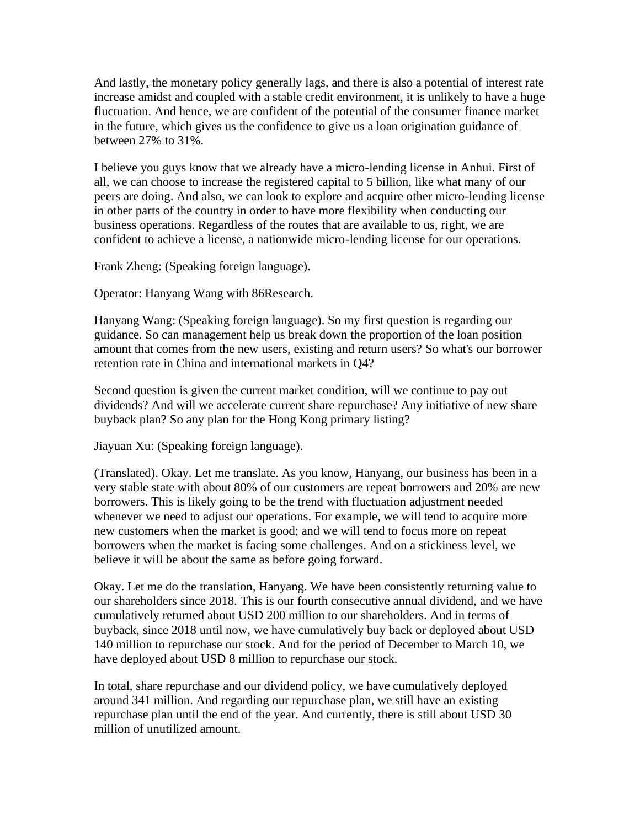And lastly, the monetary policy generally lags, and there is also a potential of interest rate increase amidst and coupled with a stable credit environment, it is unlikely to have a huge fluctuation. And hence, we are confident of the potential of the consumer finance market in the future, which gives us the confidence to give us a loan origination guidance of between 27% to 31%.

I believe you guys know that we already have a micro-lending license in Anhui. First of all, we can choose to increase the registered capital to 5 billion, like what many of our peers are doing. And also, we can look to explore and acquire other micro-lending license in other parts of the country in order to have more flexibility when conducting our business operations. Regardless of the routes that are available to us, right, we are confident to achieve a license, a nationwide micro-lending license for our operations.

Frank Zheng: (Speaking foreign language).

Operator: Hanyang Wang with 86Research.

Hanyang Wang: (Speaking foreign language). So my first question is regarding our guidance. So can management help us break down the proportion of the loan position amount that comes from the new users, existing and return users? So what's our borrower retention rate in China and international markets in Q4?

Second question is given the current market condition, will we continue to pay out dividends? And will we accelerate current share repurchase? Any initiative of new share buyback plan? So any plan for the Hong Kong primary listing?

Jiayuan Xu: (Speaking foreign language).

(Translated). Okay. Let me translate. As you know, Hanyang, our business has been in a very stable state with about 80% of our customers are repeat borrowers and 20% are new borrowers. This is likely going to be the trend with fluctuation adjustment needed whenever we need to adjust our operations. For example, we will tend to acquire more new customers when the market is good; and we will tend to focus more on repeat borrowers when the market is facing some challenges. And on a stickiness level, we believe it will be about the same as before going forward.

Okay. Let me do the translation, Hanyang. We have been consistently returning value to our shareholders since 2018. This is our fourth consecutive annual dividend, and we have cumulatively returned about USD 200 million to our shareholders. And in terms of buyback, since 2018 until now, we have cumulatively buy back or deployed about USD 140 million to repurchase our stock. And for the period of December to March 10, we have deployed about USD 8 million to repurchase our stock.

In total, share repurchase and our dividend policy, we have cumulatively deployed around 341 million. And regarding our repurchase plan, we still have an existing repurchase plan until the end of the year. And currently, there is still about USD 30 million of unutilized amount.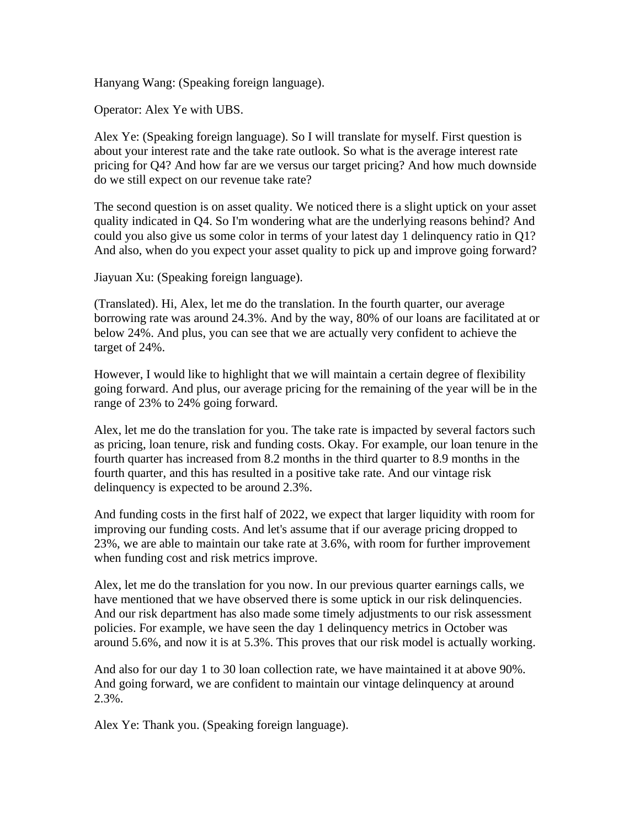Hanyang Wang: (Speaking foreign language).

Operator: Alex Ye with UBS.

Alex Ye: (Speaking foreign language). So I will translate for myself. First question is about your interest rate and the take rate outlook. So what is the average interest rate pricing for Q4? And how far are we versus our target pricing? And how much downside do we still expect on our revenue take rate?

The second question is on asset quality. We noticed there is a slight uptick on your asset quality indicated in Q4. So I'm wondering what are the underlying reasons behind? And could you also give us some color in terms of your latest day 1 delinquency ratio in Q1? And also, when do you expect your asset quality to pick up and improve going forward?

Jiayuan Xu: (Speaking foreign language).

(Translated). Hi, Alex, let me do the translation. In the fourth quarter, our average borrowing rate was around 24.3%. And by the way, 80% of our loans are facilitated at or below 24%. And plus, you can see that we are actually very confident to achieve the target of 24%.

However, I would like to highlight that we will maintain a certain degree of flexibility going forward. And plus, our average pricing for the remaining of the year will be in the range of 23% to 24% going forward.

Alex, let me do the translation for you. The take rate is impacted by several factors such as pricing, loan tenure, risk and funding costs. Okay. For example, our loan tenure in the fourth quarter has increased from 8.2 months in the third quarter to 8.9 months in the fourth quarter, and this has resulted in a positive take rate. And our vintage risk delinquency is expected to be around 2.3%.

And funding costs in the first half of 2022, we expect that larger liquidity with room for improving our funding costs. And let's assume that if our average pricing dropped to 23%, we are able to maintain our take rate at 3.6%, with room for further improvement when funding cost and risk metrics improve.

Alex, let me do the translation for you now. In our previous quarter earnings calls, we have mentioned that we have observed there is some uptick in our risk delinquencies. And our risk department has also made some timely adjustments to our risk assessment policies. For example, we have seen the day 1 delinquency metrics in October was around 5.6%, and now it is at 5.3%. This proves that our risk model is actually working.

And also for our day 1 to 30 loan collection rate, we have maintained it at above 90%. And going forward, we are confident to maintain our vintage delinquency at around 2.3%.

Alex Ye: Thank you. (Speaking foreign language).